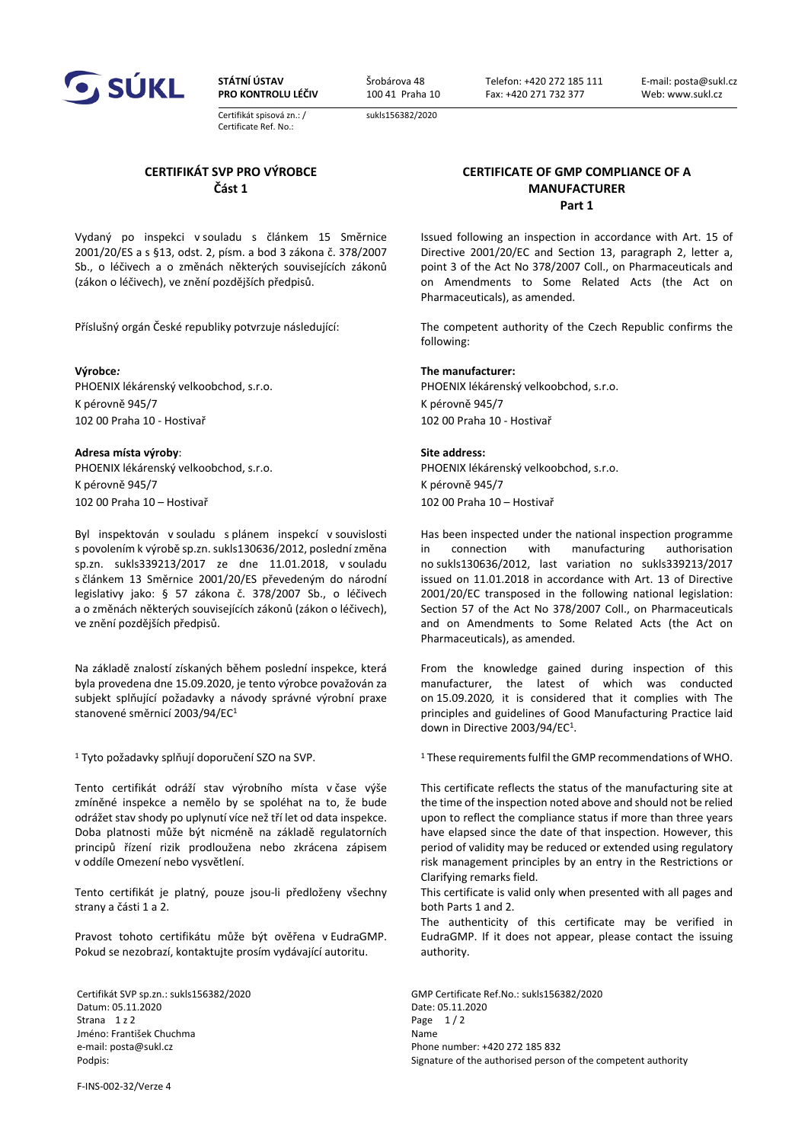

**STÁTNÍ ÚSTAV PRO KONTROLU LÉČIV** Šrobárova 48 100 41 Praha 10 sukls156382/2020

Telefon: +420 272 185 111 Fax: +420 271 732 377

Certifikát spisová zn.: / Certificate Ref. No.:

**CERTIFIKÁT SVP PRO VÝROBCE Část 1**

Vydaný po inspekci v souladu s článkem 15 Směrnice 2001/20/ES a s §13, odst. 2, písm. a bod 3 zákona č. 378/2007 Sb., o léčivech a o změnách některých souvisejících zákonů (zákon o léčivech), ve znění pozdějších předpisů.

PHOENIX lékárenský velkoobchod, s.r.o. PHOENIX lékárenský velkoobchod, s.r.o. K pérovně 945/7 K pérovně 945/7 102 00 Praha 10 - Hostivař 102 00 Praha 10 - Hostivař

## **Adresa místa výroby**: **Site address:**

PHOENIX lékárenský velkoobchod, s.r.o. K pérovně 945/7 102 00 Praha 10 – Hostivař 102 00 Praha 10 – Hostivař

Byl inspektován v souladu s plánem inspekcí v souvislosti s povolením k výrobě sp.zn. sukls130636/2012, poslední změna sp.zn. sukls339213/2017 ze dne 11.01.2018, v souladu s článkem 13 Směrnice 2001/20/ES převedeným do národní legislativy jako: § 57 zákona č. 378/2007 Sb., o léčivech a o změnách některých souvisejících zákonů (zákon o léčivech), ve znění pozdějších předpisů.

Na základě znalostí získaných během poslední inspekce, která byla provedena dne 15.09.2020, je tento výrobce považován za subjekt splňující požadavky a návody správné výrobní praxe stanovené směrnicí 2003/94/EC<sup>1</sup>

1 Tyto požadavky splňují doporučení SZO na SVP.

Tento certifikát odráží stav výrobního místa v čase výše zmíněné inspekce a nemělo by se spoléhat na to, že bude odrážet stav shody po uplynutí více než tří let od data inspekce. Doba platnosti může být nicméně na základě regulatorních principů řízení rizik prodloužena nebo zkrácena zápisem v oddíle Omezení nebo vysvětlení.

Tento certifikát je platný, pouze jsou-li předloženy všechny strany a části 1 a 2.

Pravost tohoto certifikátu může být ověřena v EudraGMP. Pokud se nezobrazí, kontaktujte prosím vydávající autoritu.

Datum: 05.11.2020 Date: 05.11.2020 Strana  $1 z 2$  Page  $1 / 2$ Jméno: František Chuchma Name e-mail: posta@sukl.cz enterprise of the mail: posta@sukl.cz enterprise of the mail: posta@sukl.cz

**CERTIFICATE OF GMP COMPLIANCE OF A MANUFACTURER Part 1**

Issued following an inspection in accordance with Art. 15 of Directive 2001/20/EC and Section 13, paragraph 2, letter a, point 3 of the Act No 378/2007 Coll., on Pharmaceuticals and on Amendments to Some Related Acts (the Act on Pharmaceuticals), as amended.

Příslušný orgán České republiky potvrzuje následující: The competent authority of the Czech Republic confirms the following:

## **Výrobce***:* **The manufacturer:**

PHOENIX lékárenský velkoobchod, s.r.o. K pérovně 945/7

Has been inspected under the national inspection programme in connection with manufacturing authorisation no sukls130636/2012, last variation no sukls339213/2017 issued on 11.01.2018 in accordance with Art. 13 of Directive 2001/20/EC transposed in the following national legislation: Section 57 of the Act No 378/2007 Coll., on Pharmaceuticals and on Amendments to Some Related Acts (the Act on Pharmaceuticals), as amended.

From the knowledge gained during inspection of this manufacturer, the latest of which was conducted on 15.09.2020*,* it is considered that it complies with The principles and guidelines of Good Manufacturing Practice laid down in Directive 2003/94/EC1.

<sup>1</sup> These requirements fulfil the GMP recommendations of WHO.

This certificate reflects the status of the manufacturing site at the time of the inspection noted above and should not be relied upon to reflect the compliance status if more than three years have elapsed since the date of that inspection. However, this period of validity may be reduced or extended using regulatory risk management principles by an entry in the Restrictions or Clarifying remarks field.

This certificate is valid only when presented with all pages and both Parts 1 and 2.

The authenticity of this certificate may be verified in EudraGMP. If it does not appear, please contact the issuing authority.

Certifikát SVP sp.zn.: sukls156382/2020 GMP Certificate Ref.No.: sukls156382/2020 Podpis: **Signature of the authorised person of the competent authority Signature of the competent authority** 

F-INS-002-32/Verze 4